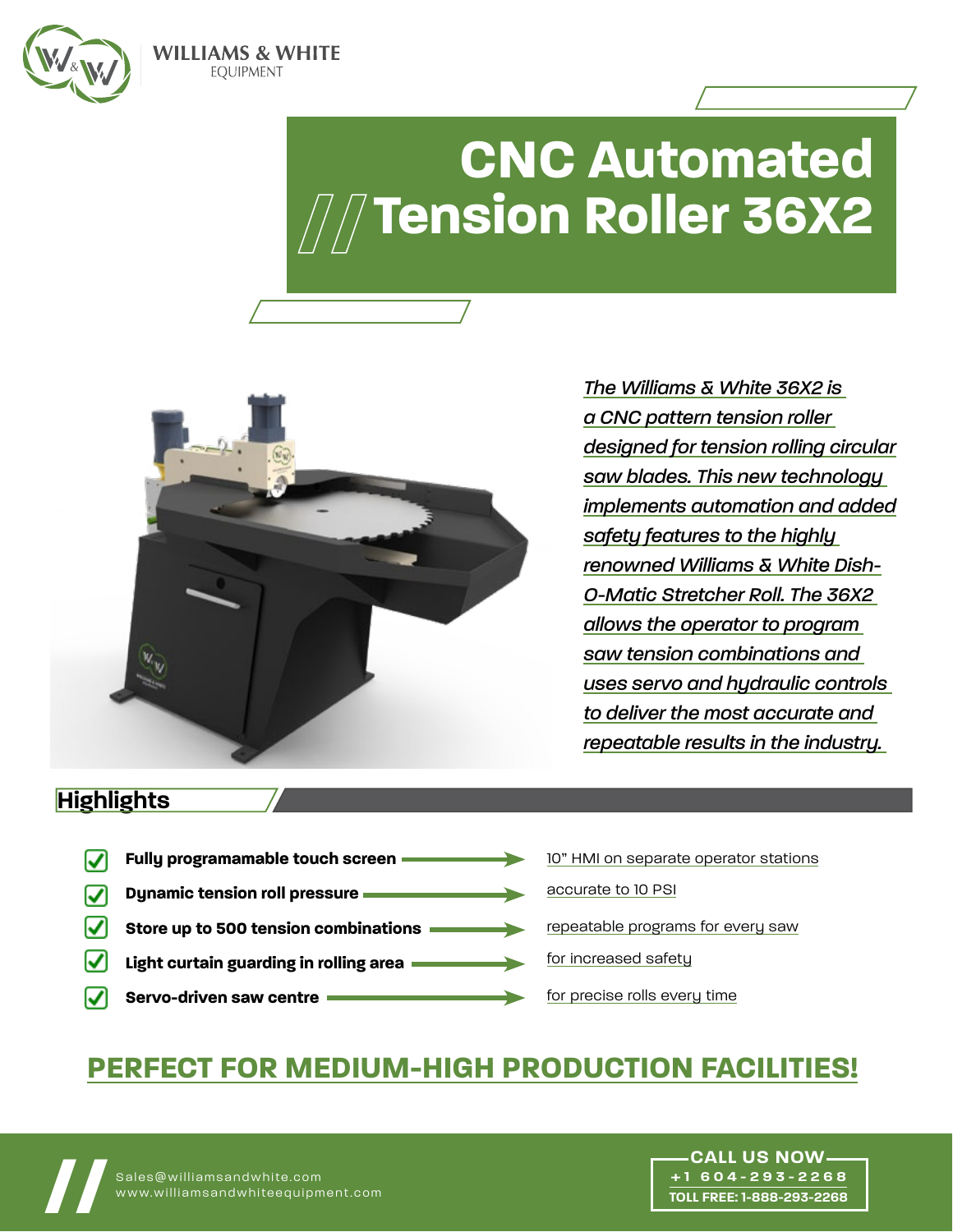

# **CNC Automated [Tension Roller 36X2](https://www.williamsandwhiteequipment.com/36x2)**



**WILLIAMS & WHITE EOUIPMENT** 

> *The Williams & White 36X2 is a CNC pattern tension roller designed for tension rolling circular saw blades. This new technology implements automation and added safety features to the highly renowned Williams & White Dish-O-Matic Stretcher Roll. The 36X2 allows the operator to program saw tension combinations and uses servo and hydraulic controls to deliver the most accurate and repeatable results in the industry.*

> > **+1 604-293-2268 TOLL FREE: 1-888-293-2268**

## **Highlights**

**Fully programamable touch screen**  10" HMI on separate operator stations ☑ accurate to 10 PSI  $\blacksquare$ **Dynamic tension roll pressure**  $\mathbf{v}$ repeatable programs for every saw **Store up to 500 tension combinations** for increased safety M. **Light curtain guarding in rolling area** for precise rolls every timeM **Servo-driven saw centre**

## **PERFECT FOR MEDIUM-HIGH PRODUCTION FACILITIES!**

**//** Sales@williamsandwhite.com www.williamsandwhiteequipment.com **// CALL US NOW**